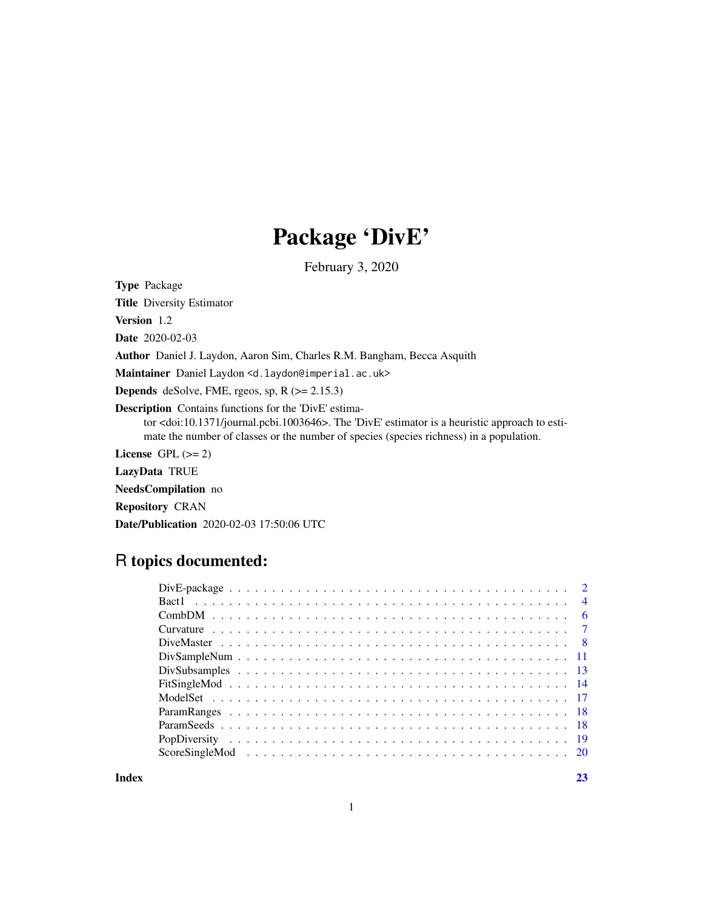# Package 'DivE'

February 3, 2020

<span id="page-0-0"></span>Type Package Title Diversity Estimator Version 1.2 Date 2020-02-03 Author Daniel J. Laydon, Aaron Sim, Charles R.M. Bangham, Becca Asquith Maintainer Daniel Laydon <d.laydon@imperial.ac.uk> **Depends** deSolve, FME, rgeos, sp,  $R$  ( $>= 2.15.3$ ) Description Contains functions for the 'DivE' estimator <doi:10.1371/journal.pcbi.1003646>. The 'DivE' estimator is a heuristic approach to estimate the number of classes or the number of species (species richness) in a population. License GPL  $(>= 2)$ LazyData TRUE NeedsCompilation no Repository CRAN

# Date/Publication 2020-02-03 17:50:06 UTC

## R topics documented:

| - 6 |
|-----|
|     |
|     |
|     |
|     |
|     |
|     |
|     |
|     |
|     |
|     |
|     |

**Index** [23](#page-22-0)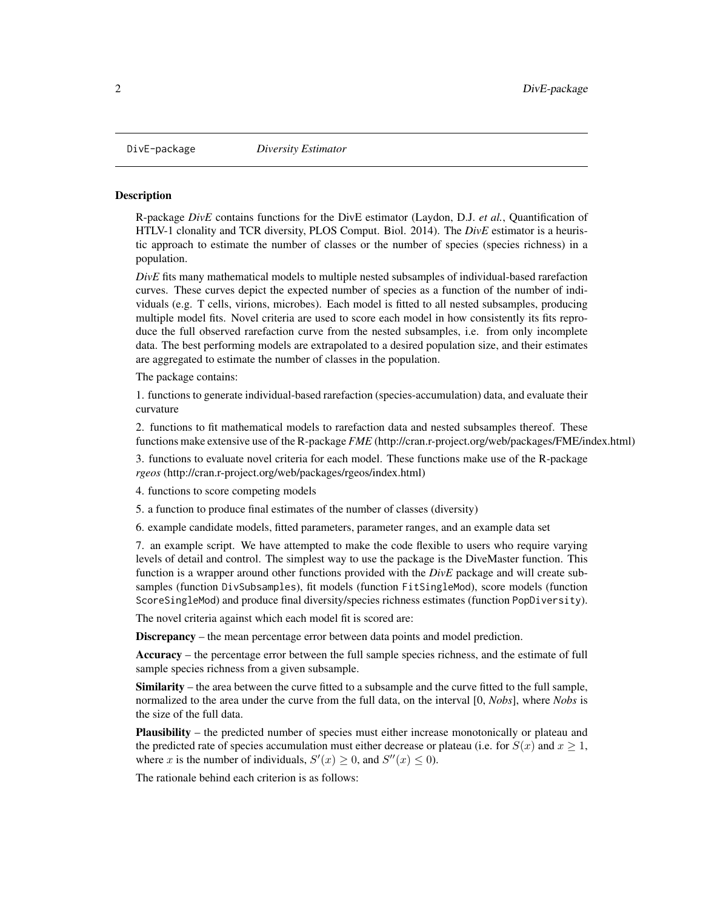<span id="page-1-0"></span>

#### Description

R-package *DivE* contains functions for the DivE estimator (Laydon, D.J. *et al.*, Quantification of HTLV-1 clonality and TCR diversity, PLOS Comput. Biol. 2014). The *DivE* estimator is a heuristic approach to estimate the number of classes or the number of species (species richness) in a population.

*DivE* fits many mathematical models to multiple nested subsamples of individual-based rarefaction curves. These curves depict the expected number of species as a function of the number of individuals (e.g. T cells, virions, microbes). Each model is fitted to all nested subsamples, producing multiple model fits. Novel criteria are used to score each model in how consistently its fits reproduce the full observed rarefaction curve from the nested subsamples, i.e. from only incomplete data. The best performing models are extrapolated to a desired population size, and their estimates are aggregated to estimate the number of classes in the population.

The package contains:

1. functions to generate individual-based rarefaction (species-accumulation) data, and evaluate their curvature

2. functions to fit mathematical models to rarefaction data and nested subsamples thereof. These functions make extensive use of the R-package *FME* (http://cran.r-project.org/web/packages/FME/index.html)

3. functions to evaluate novel criteria for each model. These functions make use of the R-package *rgeos* (http://cran.r-project.org/web/packages/rgeos/index.html)

4. functions to score competing models

5. a function to produce final estimates of the number of classes (diversity)

6. example candidate models, fitted parameters, parameter ranges, and an example data set

7. an example script. We have attempted to make the code flexible to users who require varying levels of detail and control. The simplest way to use the package is the DiveMaster function. This function is a wrapper around other functions provided with the *DivE* package and will create subsamples (function DivSubsamples), fit models (function FitSingleMod), score models (function ScoreSingleMod) and produce final diversity/species richness estimates (function PopDiversity).

The novel criteria against which each model fit is scored are:

Discrepancy – the mean percentage error between data points and model prediction.

Accuracy – the percentage error between the full sample species richness, and the estimate of full sample species richness from a given subsample.

Similarity – the area between the curve fitted to a subsample and the curve fitted to the full sample, normalized to the area under the curve from the full data, on the interval [0, *Nobs*], where *Nobs* is the size of the full data.

Plausibility – the predicted number of species must either increase monotonically or plateau and the predicted rate of species accumulation must either decrease or plateau (i.e. for  $S(x)$  and  $x \ge 1$ , where x is the number of individuals,  $S'(x) \ge 0$ , and  $S''(x) \le 0$ .

The rationale behind each criterion is as follows: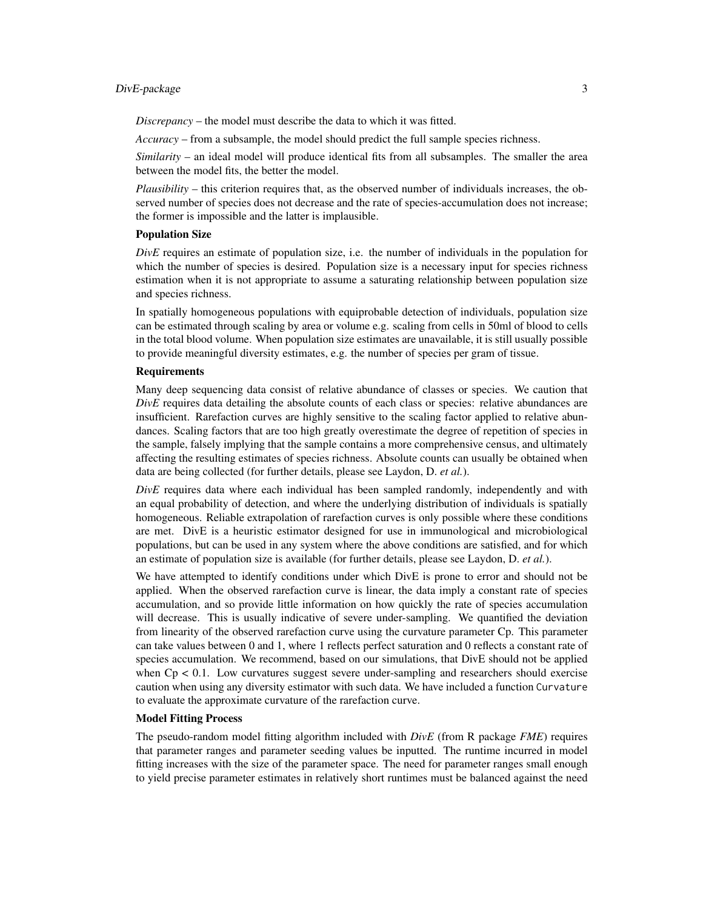## DivE-package 3

*Discrepancy* – the model must describe the data to which it was fitted.

*Accuracy* – from a subsample, the model should predict the full sample species richness.

*Similarity* – an ideal model will produce identical fits from all subsamples. The smaller the area between the model fits, the better the model.

*Plausibility* – this criterion requires that, as the observed number of individuals increases, the observed number of species does not decrease and the rate of species-accumulation does not increase; the former is impossible and the latter is implausible.

## Population Size

*DivE* requires an estimate of population size, i.e. the number of individuals in the population for which the number of species is desired. Population size is a necessary input for species richness estimation when it is not appropriate to assume a saturating relationship between population size and species richness.

In spatially homogeneous populations with equiprobable detection of individuals, population size can be estimated through scaling by area or volume e.g. scaling from cells in 50ml of blood to cells in the total blood volume. When population size estimates are unavailable, it is still usually possible to provide meaningful diversity estimates, e.g. the number of species per gram of tissue.

## Requirements

Many deep sequencing data consist of relative abundance of classes or species. We caution that *DivE* requires data detailing the absolute counts of each class or species: relative abundances are insufficient. Rarefaction curves are highly sensitive to the scaling factor applied to relative abundances. Scaling factors that are too high greatly overestimate the degree of repetition of species in the sample, falsely implying that the sample contains a more comprehensive census, and ultimately affecting the resulting estimates of species richness. Absolute counts can usually be obtained when data are being collected (for further details, please see Laydon, D. *et al.*).

*DivE* requires data where each individual has been sampled randomly, independently and with an equal probability of detection, and where the underlying distribution of individuals is spatially homogeneous. Reliable extrapolation of rarefaction curves is only possible where these conditions are met. DivE is a heuristic estimator designed for use in immunological and microbiological populations, but can be used in any system where the above conditions are satisfied, and for which an estimate of population size is available (for further details, please see Laydon, D. *et al.*).

We have attempted to identify conditions under which DivE is prone to error and should not be applied. When the observed rarefaction curve is linear, the data imply a constant rate of species accumulation, and so provide little information on how quickly the rate of species accumulation will decrease. This is usually indicative of severe under-sampling. We quantified the deviation from linearity of the observed rarefaction curve using the curvature parameter Cp. This parameter can take values between 0 and 1, where 1 reflects perfect saturation and 0 reflects a constant rate of species accumulation. We recommend, based on our simulations, that DivE should not be applied when  $Cp < 0.1$ . Low curvatures suggest severe under-sampling and researchers should exercise caution when using any diversity estimator with such data. We have included a function Curvature to evaluate the approximate curvature of the rarefaction curve.

## Model Fitting Process

The pseudo-random model fitting algorithm included with *DivE* (from R package *FME*) requires that parameter ranges and parameter seeding values be inputted. The runtime incurred in model fitting increases with the size of the parameter space. The need for parameter ranges small enough to yield precise parameter estimates in relatively short runtimes must be balanced against the need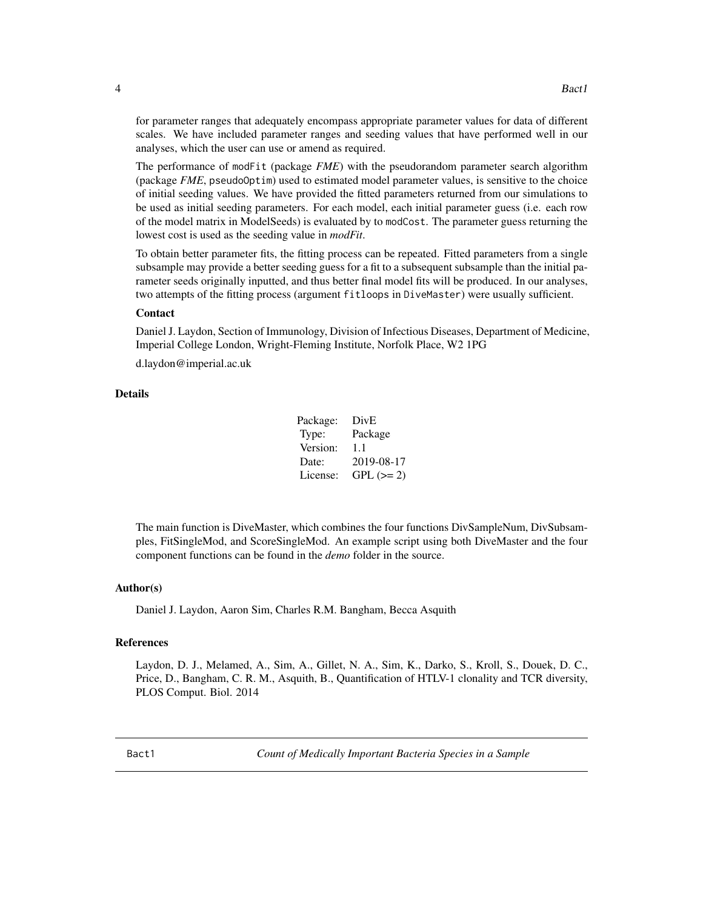<span id="page-3-0"></span>for parameter ranges that adequately encompass appropriate parameter values for data of different scales. We have included parameter ranges and seeding values that have performed well in our analyses, which the user can use or amend as required.

The performance of modFit (package *FME*) with the pseudorandom parameter search algorithm (package *FME*, pseudoOptim) used to estimated model parameter values, is sensitive to the choice of initial seeding values. We have provided the fitted parameters returned from our simulations to be used as initial seeding parameters. For each model, each initial parameter guess (i.e. each row of the model matrix in ModelSeeds) is evaluated by to modCost. The parameter guess returning the lowest cost is used as the seeding value in *modFit*.

To obtain better parameter fits, the fitting process can be repeated. Fitted parameters from a single subsample may provide a better seeding guess for a fit to a subsequent subsample than the initial parameter seeds originally inputted, and thus better final model fits will be produced. In our analyses, two attempts of the fitting process (argument fitloops in DiveMaster) were usually sufficient.

## Contact

Daniel J. Laydon, Section of Immunology, Division of Infectious Diseases, Department of Medicine, Imperial College London, Wright-Fleming Institute, Norfolk Place, W2 1PG d.laydon@imperial.ac.uk

Details

| Package: | DivE        |
|----------|-------------|
| Type:    | Package     |
| Version: | 11          |
| Date:    | 2019-08-17  |
| License: | $GPL (= 2)$ |

The main function is DiveMaster, which combines the four functions DivSampleNum, DivSubsamples, FitSingleMod, and ScoreSingleMod. An example script using both DiveMaster and the four component functions can be found in the *demo* folder in the source.

#### Author(s)

Daniel J. Laydon, Aaron Sim, Charles R.M. Bangham, Becca Asquith

## References

Laydon, D. J., Melamed, A., Sim, A., Gillet, N. A., Sim, K., Darko, S., Kroll, S., Douek, D. C., Price, D., Bangham, C. R. M., Asquith, B., Quantification of HTLV-1 clonality and TCR diversity, PLOS Comput. Biol. 2014

Bact1 *Count of Medically Important Bacteria Species in a Sample*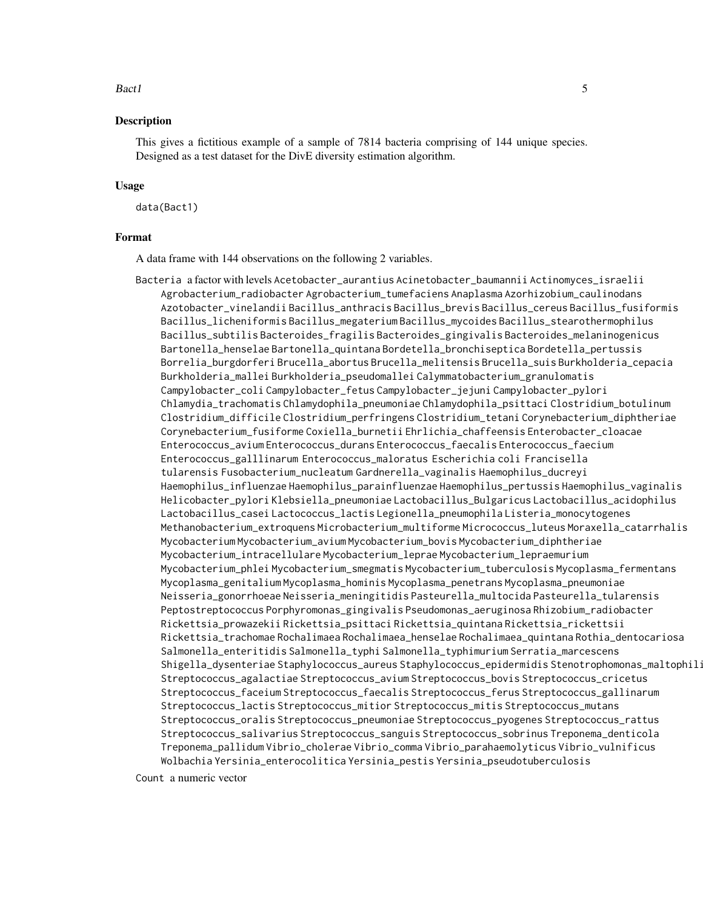#### $Bact1$  5

## Description

This gives a fictitious example of a sample of 7814 bacteria comprising of 144 unique species. Designed as a test dataset for the DivE diversity estimation algorithm.

## Usage

data(Bact1)

#### Format

A data frame with 144 observations on the following 2 variables.

Bacteria a factor with levels Acetobacter\_aurantius Acinetobacter\_baumannii Actinomyces\_israelii Agrobacterium\_radiobacter Agrobacterium\_tumefaciens Anaplasma Azorhizobium\_caulinodans Azotobacter\_vinelandii Bacillus\_anthracis Bacillus\_brevis Bacillus\_cereus Bacillus\_fusiformis Bacillus\_licheniformis Bacillus\_megaterium Bacillus\_mycoides Bacillus\_stearothermophilus Bacillus\_subtilis Bacteroides\_fragilis Bacteroides\_gingivalis Bacteroides\_melaninogenicus Bartonella\_henselae Bartonella\_quintana Bordetella\_bronchiseptica Bordetella\_pertussis Borrelia\_burgdorferi Brucella\_abortus Brucella\_melitensis Brucella\_suis Burkholderia\_cepacia Burkholderia\_mallei Burkholderia\_pseudomallei Calymmatobacterium\_granulomatis Campylobacter\_coli Campylobacter\_fetus Campylobacter\_jejuni Campylobacter\_pylori Chlamydia\_trachomatis Chlamydophila\_pneumoniae Chlamydophila\_psittaci Clostridium\_botulinum Clostridium\_difficile Clostridium\_perfringens Clostridium\_tetani Corynebacterium\_diphtheriae Corynebacterium\_fusiforme Coxiella\_burnetii Ehrlichia\_chaffeensis Enterobacter\_cloacae Enterococcus\_avium Enterococcus\_durans Enterococcus\_faecalis Enterococcus\_faecium Enterococcus\_galllinarum Enterococcus\_maloratus Escherichia coli Francisella tularensis Fusobacterium\_nucleatum Gardnerella\_vaginalis Haemophilus\_ducreyi Haemophilus\_influenzae Haemophilus\_parainfluenzae Haemophilus\_pertussis Haemophilus\_vaginalis Helicobacter\_pylori Klebsiella\_pneumoniae Lactobacillus\_Bulgaricus Lactobacillus\_acidophilus Lactobacillus\_casei Lactococcus\_lactis Legionella\_pneumophila Listeria\_monocytogenes Methanobacterium\_extroquens Microbacterium\_multiforme Micrococcus\_luteus Moraxella\_catarrhalis Mycobacterium Mycobacterium\_avium Mycobacterium\_bovis Mycobacterium\_diphtheriae Mycobacterium\_intracellulare Mycobacterium\_leprae Mycobacterium\_lepraemurium Mycobacterium\_phlei Mycobacterium\_smegmatis Mycobacterium\_tuberculosis Mycoplasma\_fermentans Mycoplasma\_genitalium Mycoplasma\_hominis Mycoplasma\_penetrans Mycoplasma\_pneumoniae Neisseria\_gonorrhoeae Neisseria\_meningitidis Pasteurella\_multocida Pasteurella\_tularensis Peptostreptococcus Porphyromonas\_gingivalis Pseudomonas\_aeruginosa Rhizobium\_radiobacter Rickettsia\_prowazekii Rickettsia\_psittaci Rickettsia\_quintana Rickettsia\_rickettsii Rickettsia\_trachomae Rochalimaea Rochalimaea\_henselae Rochalimaea\_quintana Rothia\_dentocariosa Salmonella\_enteritidis Salmonella\_typhi Salmonella\_typhimurium Serratia\_marcescens Shigella\_dysenteriae Staphylococcus\_aureus Staphylococcus\_epidermidis Stenotrophomonas\_maltophili Streptococcus\_agalactiae Streptococcus\_avium Streptococcus\_bovis Streptococcus\_cricetus Streptococcus\_faceium Streptococcus\_faecalis Streptococcus\_ferus Streptococcus\_gallinarum Streptococcus\_lactis Streptococcus\_mitior Streptococcus\_mitis Streptococcus\_mutans Streptococcus\_oralis Streptococcus\_pneumoniae Streptococcus\_pyogenes Streptococcus\_rattus Streptococcus\_salivarius Streptococcus\_sanguis Streptococcus\_sobrinus Treponema\_denticola Treponema\_pallidum Vibrio\_cholerae Vibrio\_comma Vibrio\_parahaemolyticus Vibrio\_vulnificus Wolbachia Yersinia\_enterocolitica Yersinia\_pestis Yersinia\_pseudotuberculosis

Count a numeric vector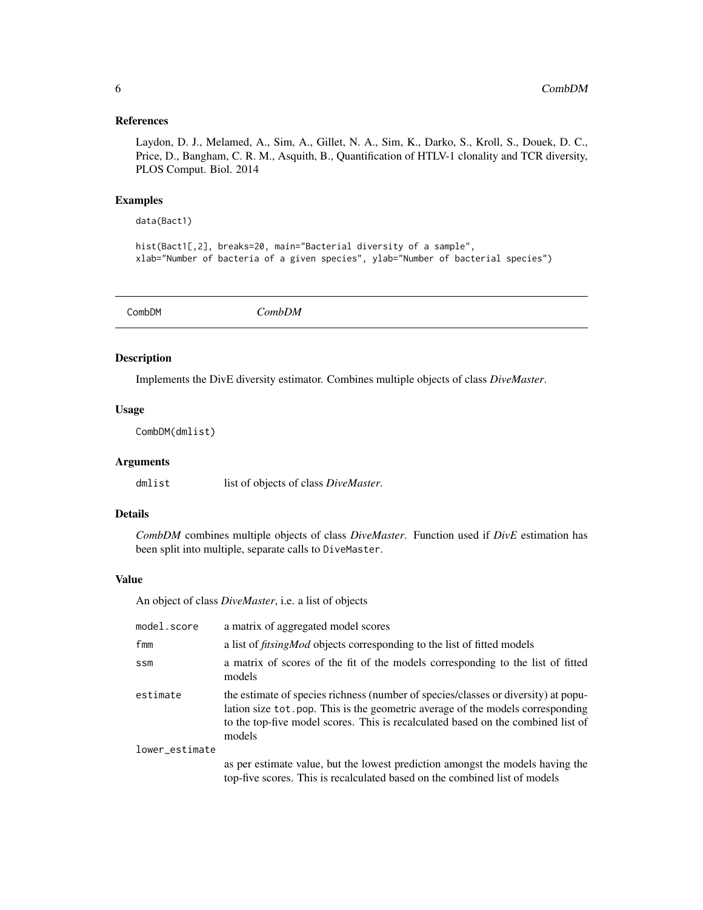#### <span id="page-5-0"></span>References

Laydon, D. J., Melamed, A., Sim, A., Gillet, N. A., Sim, K., Darko, S., Kroll, S., Douek, D. C., Price, D., Bangham, C. R. M., Asquith, B., Quantification of HTLV-1 clonality and TCR diversity, PLOS Comput. Biol. 2014

## Examples

data(Bact1)

hist(Bact1[,2], breaks=20, main="Bacterial diversity of a sample", xlab="Number of bacteria of a given species", ylab="Number of bacterial species")

CombDM *CombDM*

## Description

Implements the DivE diversity estimator. Combines multiple objects of class *DiveMaster*.

## Usage

CombDM(dmlist)

## Arguments

dmlist list of objects of class *DiveMaster*.

## Details

*CombDM* combines multiple objects of class *DiveMaster*. Function used if *DivE* estimation has been split into multiple, separate calls to DiveMaster.

#### Value

An object of class *DiveMaster*, i.e. a list of objects

| model.score    | a matrix of aggregated model scores                                                                                                                                                                                                                                 |
|----------------|---------------------------------------------------------------------------------------------------------------------------------------------------------------------------------------------------------------------------------------------------------------------|
| fmm            | a list of <i>fitsingMod</i> objects corresponding to the list of fitted models                                                                                                                                                                                      |
| ssm            | a matrix of scores of the fit of the models corresponding to the list of fitted<br>models                                                                                                                                                                           |
| estimate       | the estimate of species richness (number of species/classes or diversity) at popu-<br>lation size tot. pop. This is the geometric average of the models corresponding<br>to the top-five model scores. This is recalculated based on the combined list of<br>models |
| lower_estimate |                                                                                                                                                                                                                                                                     |
|                | as per estimate value, but the lowest prediction amongst the models having the<br>top-five scores. This is recalculated based on the combined list of models                                                                                                        |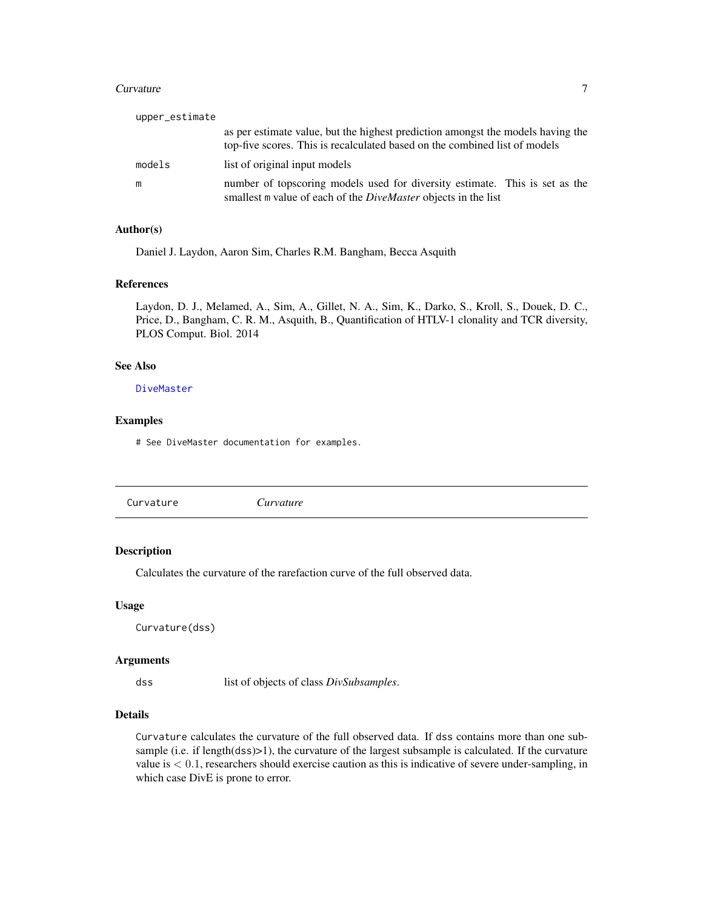#### <span id="page-6-0"></span>Curvature 7

| upper_estimate |                                                                                                                                                               |
|----------------|---------------------------------------------------------------------------------------------------------------------------------------------------------------|
|                | as per estimate value, but the highest prediction amongst the models having the<br>top-five scores. This is recalculated based on the combined list of models |
| models         | list of original input models                                                                                                                                 |
| m              | number of topscoring models used for diversity estimate. This is set as the<br>smallest m value of each of the <i>DiveMaster</i> objects in the list          |

## Author(s)

Daniel J. Laydon, Aaron Sim, Charles R.M. Bangham, Becca Asquith

#### References

Laydon, D. J., Melamed, A., Sim, A., Gillet, N. A., Sim, K., Darko, S., Kroll, S., Douek, D. C., Price, D., Bangham, C. R. M., Asquith, B., Quantification of HTLV-1 clonality and TCR diversity, PLOS Comput. Biol. 2014

## See Also

[DiveMaster](#page-7-1)

## Examples

# See DiveMaster documentation for examples.

## Description

Calculates the curvature of the rarefaction curve of the full observed data.

## Usage

Curvature(dss)

#### Arguments

dss list of objects of class *DivSubsamples*.

## Details

Curvature calculates the curvature of the full observed data. If dss contains more than one subsample (i.e. if length(dss)>1), the curvature of the largest subsample is calculated. If the curvature value is < 0.1, researchers should exercise caution as this is indicative of severe under-sampling, in which case DivE is prone to error.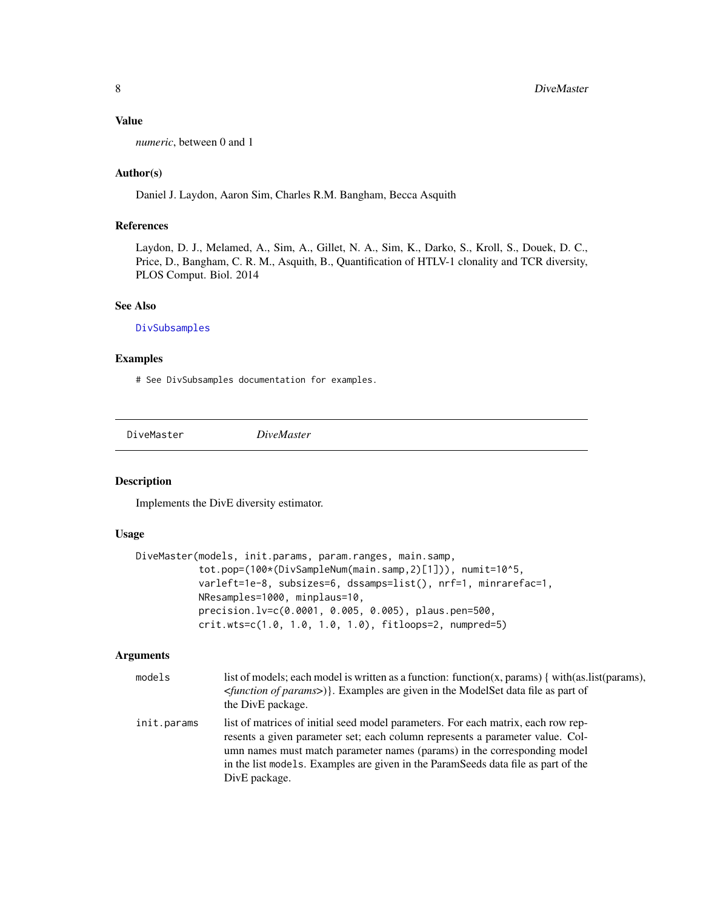## <span id="page-7-0"></span>Value

*numeric*, between 0 and 1

## Author(s)

Daniel J. Laydon, Aaron Sim, Charles R.M. Bangham, Becca Asquith

## References

Laydon, D. J., Melamed, A., Sim, A., Gillet, N. A., Sim, K., Darko, S., Kroll, S., Douek, D. C., Price, D., Bangham, C. R. M., Asquith, B., Quantification of HTLV-1 clonality and TCR diversity, PLOS Comput. Biol. 2014

#### See Also

[DivSubsamples](#page-12-1)

## Examples

# See DivSubsamples documentation for examples.

<span id="page-7-1"></span>DiveMaster *DiveMaster*

## Description

Implements the DivE diversity estimator.

## Usage

```
DiveMaster(models, init.params, param.ranges, main.samp,
           tot.pop=(100*(DivSampleNum(main.samp,2)[1])), numit=10^5,
           varleft=1e-8, subsizes=6, dssamps=list(), nrf=1, minrarefac=1,
          NResamples=1000, minplaus=10,
          precision.lv=c(0.0001, 0.005, 0.005), plaus.pen=500,
          crit.wts=c(1.0, 1.0, 1.0, 1.0), fitloops=2, numpred=5)
```
#### Arguments

| models      | list of models; each model is written as a function: function $(x, \text{params})$ { with $(\text{as}.\text{list}(\text{params}),$<br><function of="" params="">)}. Examples are given in the ModelSet data file as part of<br/>the DivE package.</function>                                                                                          |
|-------------|-------------------------------------------------------------------------------------------------------------------------------------------------------------------------------------------------------------------------------------------------------------------------------------------------------------------------------------------------------|
| init.params | list of matrices of initial seed model parameters. For each matrix, each row rep-<br>resents a given parameter set; each column represents a parameter value. Col-<br>umn names must match parameter names (params) in the corresponding model<br>in the list models. Examples are given in the Param Seeds data file as part of the<br>DivE package. |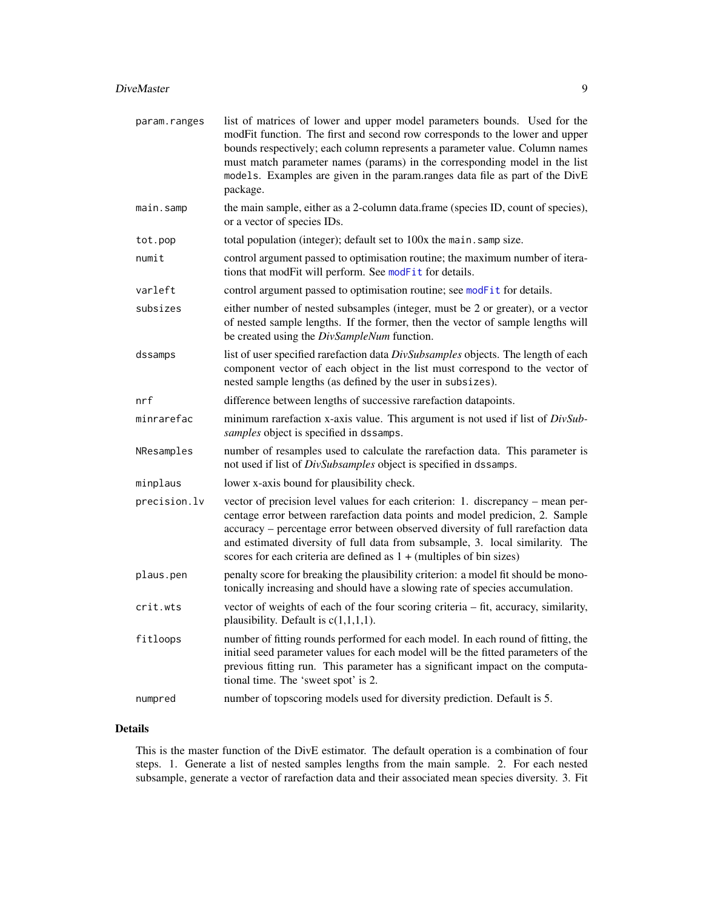#### <span id="page-8-0"></span>DiveMaster 9

- param.ranges list of matrices of lower and upper model parameters bounds. Used for the modFit function. The first and second row corresponds to the lower and upper bounds respectively; each column represents a parameter value. Column names must match parameter names (params) in the corresponding model in the list models. Examples are given in the param.ranges data file as part of the DivE package.
- main. samp the main sample, either as a 2-column data.frame (species ID, count of species), or a vector of species IDs.
- tot.pop total population (integer); default set to 100x the main.samp size.
- numit control argument passed to optimisation routine; the maximum number of iterations that [modFit](#page-0-0) will perform. See modFit for details.
- varleft control argument passed to optimisation routine; see [modFit](#page-0-0) for details.
- subsizes either number of nested subsamples (integer, must be 2 or greater), or a vector of nested sample lengths. If the former, then the vector of sample lengths will be created using the *DivSampleNum* function.
- dssamps list of user specified rarefaction data *DivSubsamples* objects. The length of each component vector of each object in the list must correspond to the vector of nested sample lengths (as defined by the user in subsizes).

nrf difference between lengths of successive rarefaction datapoints.

- minrarefac minimum rarefaction x-axis value. This argument is not used if list of *DivSubsamples* object is specified in dssamps.
- NResamples number of resamples used to calculate the rarefaction data. This parameter is not used if list of *DivSubsamples* object is specified in dssamps.
- minplaus lower x-axis bound for plausibility check.
- precision.lv vector of precision level values for each criterion: 1. discrepancy mean percentage error between rarefaction data points and model predicion, 2. Sample accuracy – percentage error between observed diversity of full rarefaction data and estimated diversity of full data from subsample, 3. local similarity. The scores for each criteria are defined as  $1 +$  (multiples of bin sizes)
- plaus.pen penalty score for breaking the plausibility criterion: a model fit should be monotonically increasing and should have a slowing rate of species accumulation.
- crit.wts vector of weights of each of the four scoring criteria fit, accuracy, similarity, plausibility. Default is  $c(1,1,1,1)$ .
- fitloops number of fitting rounds performed for each model. In each round of fitting, the initial seed parameter values for each model will be the fitted parameters of the previous fitting run. This parameter has a significant impact on the computational time. The 'sweet spot' is 2.
- numpred number of topscoring models used for diversity prediction. Default is 5.

## Details

This is the master function of the DivE estimator. The default operation is a combination of four steps. 1. Generate a list of nested samples lengths from the main sample. 2. For each nested subsample, generate a vector of rarefaction data and their associated mean species diversity. 3. Fit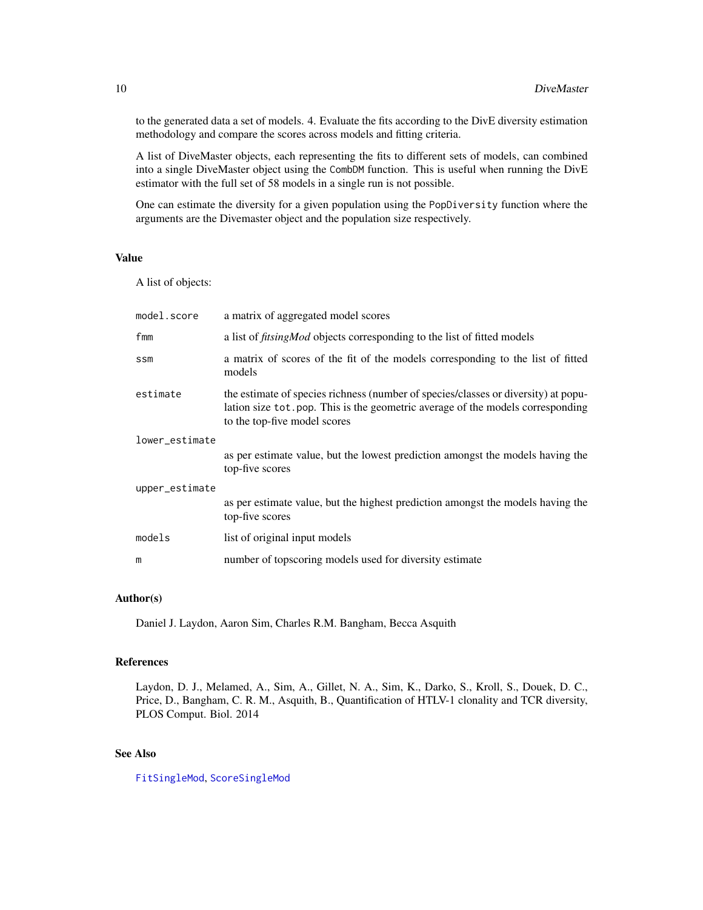to the generated data a set of models. 4. Evaluate the fits according to the DivE diversity estimation methodology and compare the scores across models and fitting criteria.

A list of DiveMaster objects, each representing the fits to different sets of models, can combined into a single DiveMaster object using the CombDM function. This is useful when running the DivE estimator with the full set of 58 models in a single run is not possible.

One can estimate the diversity for a given population using the PopDiversity function where the arguments are the Divemaster object and the population size respectively.

## Value

A list of objects:

| model.score    | a matrix of aggregated model scores                                                                                                                                                                   |
|----------------|-------------------------------------------------------------------------------------------------------------------------------------------------------------------------------------------------------|
| fmm            | a list of <i>fitsingMod</i> objects corresponding to the list of fitted models                                                                                                                        |
| <b>SSM</b>     | a matrix of scores of the fit of the models corresponding to the list of fitted<br>models                                                                                                             |
| estimate       | the estimate of species richness (number of species/classes or diversity) at popu-<br>lation size tot. pop. This is the geometric average of the models corresponding<br>to the top-five model scores |
| lower_estimate |                                                                                                                                                                                                       |
|                | as per estimate value, but the lowest prediction amongst the models having the<br>top-five scores                                                                                                     |
| upper_estimate |                                                                                                                                                                                                       |
|                | as per estimate value, but the highest prediction amongst the models having the<br>top-five scores                                                                                                    |
| models         | list of original input models                                                                                                                                                                         |
| m              | number of topscoring models used for diversity estimate                                                                                                                                               |

## Author(s)

Daniel J. Laydon, Aaron Sim, Charles R.M. Bangham, Becca Asquith

## References

Laydon, D. J., Melamed, A., Sim, A., Gillet, N. A., Sim, K., Darko, S., Kroll, S., Douek, D. C., Price, D., Bangham, C. R. M., Asquith, B., Quantification of HTLV-1 clonality and TCR diversity, PLOS Comput. Biol. 2014

## See Also

[FitSingleMod](#page-13-1), [ScoreSingleMod](#page-19-1)

<span id="page-9-0"></span>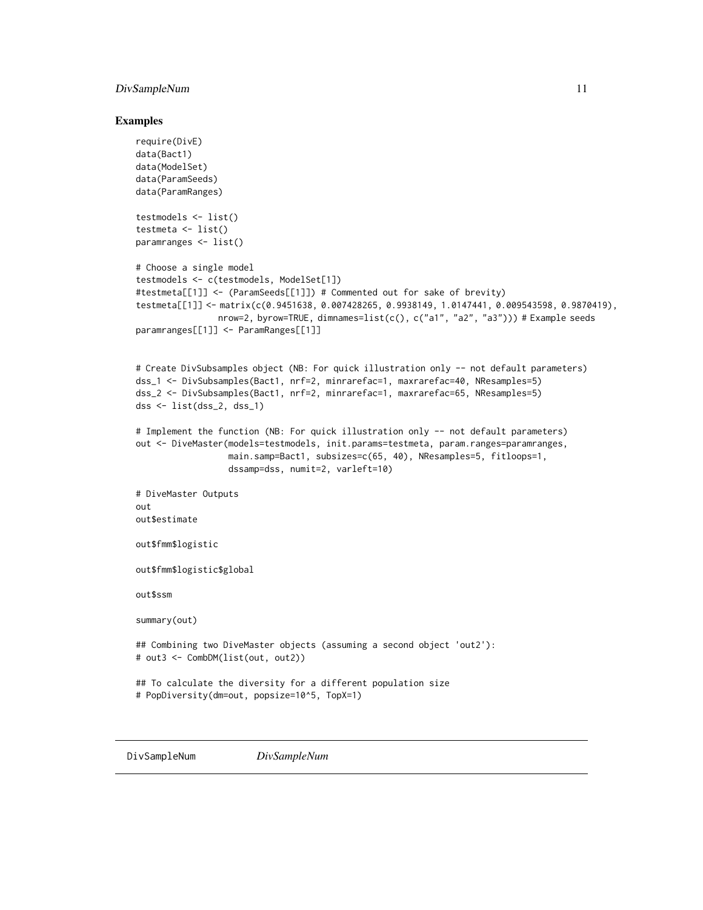## <span id="page-10-0"></span>DivSampleNum 11

## Examples

```
require(DivE)
data(Bact1)
data(ModelSet)
data(ParamSeeds)
data(ParamRanges)
testmodels <- list()
testmeta <- list()
paramranges <- list()
# Choose a single model
testmodels <- c(testmodels, ModelSet[1])
#testmeta[[1]] <- (ParamSeeds[[1]]) # Commented out for sake of brevity)
testmeta[[1]] <- matrix(c(0.9451638, 0.007428265, 0.9938149, 1.0147441, 0.009543598, 0.9870419),
                nrow=2, byrow=TRUE, dimnames=list(c(), c("a1", "a2", "a3"))) # Example seeds
paramranges[[1]] <- ParamRanges[[1]]
# Create DivSubsamples object (NB: For quick illustration only -- not default parameters)
dss_1 <- DivSubsamples(Bact1, nrf=2, minrarefac=1, maxrarefac=40, NResamples=5)
dss_2 <- DivSubsamples(Bact1, nrf=2, minrarefac=1, maxrarefac=65, NResamples=5)
dss <- list(dss_2, dss_1)
# Implement the function (NB: For quick illustration only -- not default parameters)
out <- DiveMaster(models=testmodels, init.params=testmeta, param.ranges=paramranges,
                  main.samp=Bact1, subsizes=c(65, 40), NResamples=5, fitloops=1,
                  dssamp=dss, numit=2, varleft=10)
# DiveMaster Outputs
out
out$estimate
out$fmm$logistic
out$fmm$logistic$global
out$ssm
summary(out)
## Combining two DiveMaster objects (assuming a second object 'out2'):
# out3 <- CombDM(list(out, out2))
## To calculate the diversity for a different population size
# PopDiversity(dm=out, popsize=10^5, TopX=1)
```
DivSampleNum *DivSampleNum*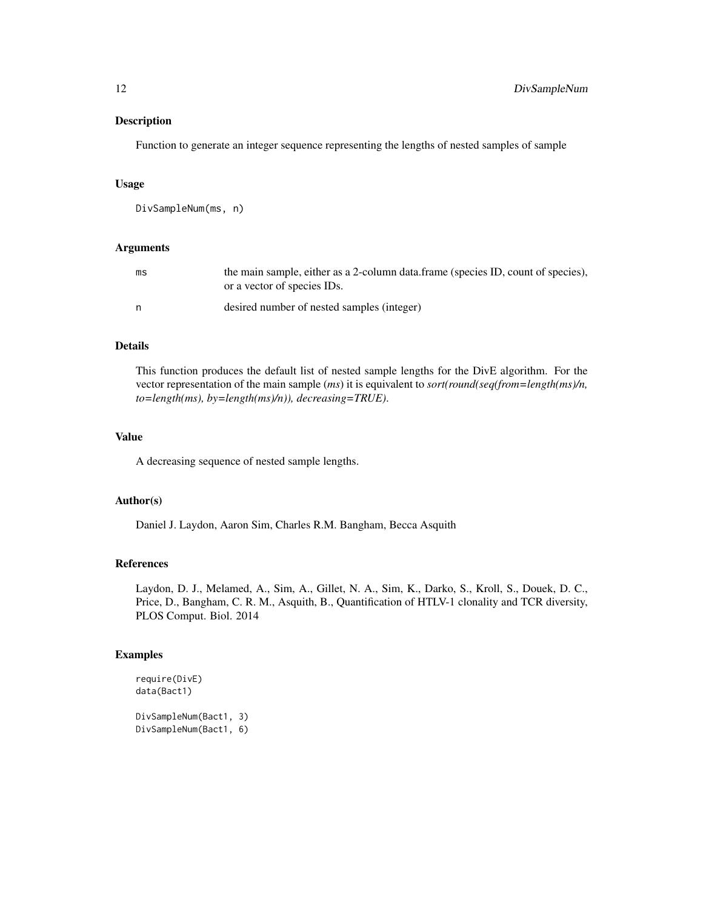## Description

Function to generate an integer sequence representing the lengths of nested samples of sample

## Usage

```
DivSampleNum(ms, n)
```
## Arguments

| ms | the main sample, either as a 2-column data.frame (species ID, count of species),<br>or a vector of species IDs. |
|----|-----------------------------------------------------------------------------------------------------------------|
| n  | desired number of nested samples (integer)                                                                      |

#### Details

This function produces the default list of nested sample lengths for the DivE algorithm. For the vector representation of the main sample (*ms*) it is equivalent to *sort(round(seq(from=length(ms)/n, to=length(ms), by=length(ms)/n)), decreasing=TRUE)*.

## Value

A decreasing sequence of nested sample lengths.

## Author(s)

Daniel J. Laydon, Aaron Sim, Charles R.M. Bangham, Becca Asquith

## References

Laydon, D. J., Melamed, A., Sim, A., Gillet, N. A., Sim, K., Darko, S., Kroll, S., Douek, D. C., Price, D., Bangham, C. R. M., Asquith, B., Quantification of HTLV-1 clonality and TCR diversity, PLOS Comput. Biol. 2014

## Examples

```
require(DivE)
data(Bact1)
```

```
DivSampleNum(Bact1, 3)
DivSampleNum(Bact1, 6)
```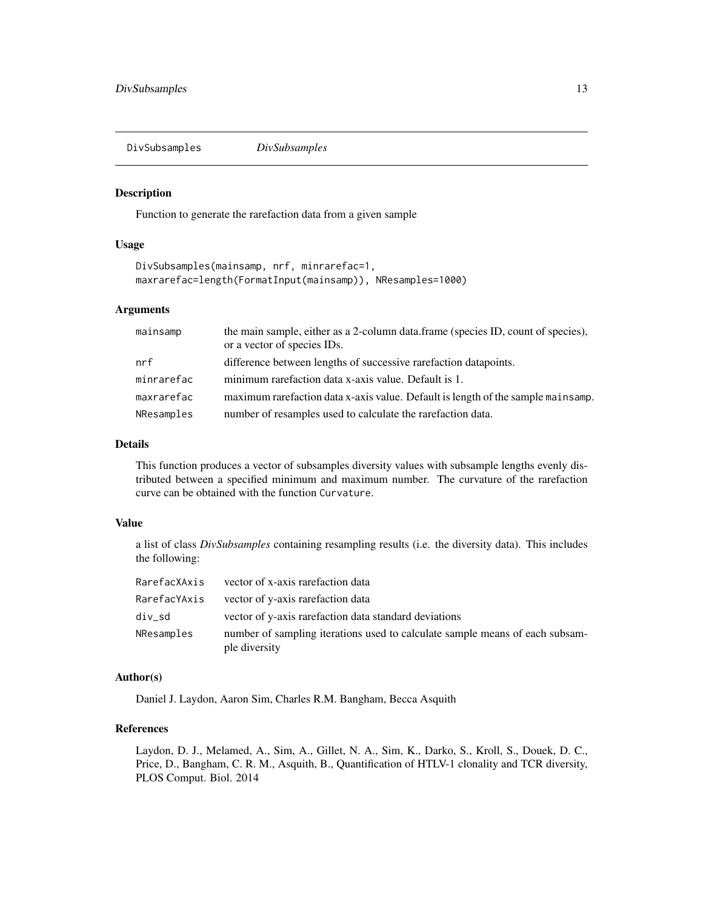<span id="page-12-1"></span><span id="page-12-0"></span>DivSubsamples *DivSubsamples*

## Description

Function to generate the rarefaction data from a given sample

## Usage

```
DivSubsamples(mainsamp, nrf, minrarefac=1,
maxrarefac=length(FormatInput(mainsamp)), NResamples=1000)
```
## Arguments

| mainsamp   | the main sample, either as a 2-column data.frame (species ID, count of species),<br>or a vector of species IDs. |
|------------|-----------------------------------------------------------------------------------------------------------------|
| nrf        | difference between lengths of successive rarefaction datapoints.                                                |
| minrarefac | minimum rarefaction data x-axis value. Default is 1.                                                            |
| maxrarefac | maximum rarefaction data x-axis value. Default is length of the sample mainsamp.                                |
| NResamples | number of resamples used to calculate the rarefaction data.                                                     |

## Details

This function produces a vector of subsamples diversity values with subsample lengths evenly distributed between a specified minimum and maximum number. The curvature of the rarefaction curve can be obtained with the function Curvature.

## Value

a list of class *DivSubsamples* containing resampling results (i.e. the diversity data). This includes the following:

| RarefacXAxis | vector of x-axis rarefaction data                                                             |
|--------------|-----------------------------------------------------------------------------------------------|
| RarefacYAxis | vector of y-axis rarefaction data                                                             |
| div sd       | vector of y-axis rarefaction data standard deviations                                         |
| NResamples   | number of sampling iterations used to calculate sample means of each subsam-<br>ple diversity |

#### Author(s)

Daniel J. Laydon, Aaron Sim, Charles R.M. Bangham, Becca Asquith

## References

Laydon, D. J., Melamed, A., Sim, A., Gillet, N. A., Sim, K., Darko, S., Kroll, S., Douek, D. C., Price, D., Bangham, C. R. M., Asquith, B., Quantification of HTLV-1 clonality and TCR diversity, PLOS Comput. Biol. 2014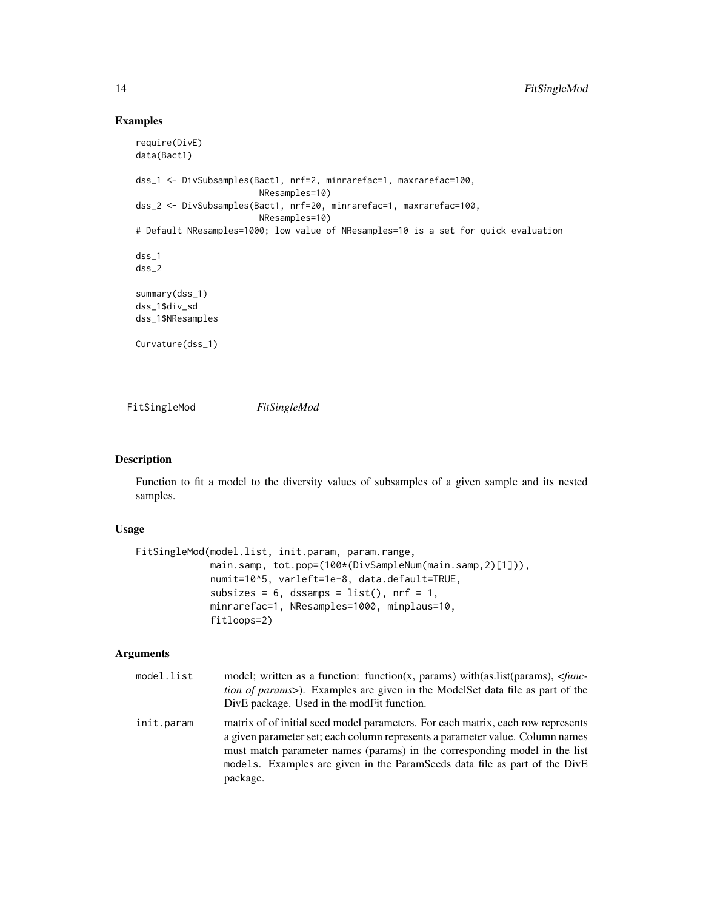## Examples

```
require(DivE)
data(Bact1)
dss_1 <- DivSubsamples(Bact1, nrf=2, minrarefac=1, maxrarefac=100,
                        NResamples=10)
dss_2 <- DivSubsamples(Bact1, nrf=20, minrarefac=1, maxrarefac=100,
                        NResamples=10)
# Default NResamples=1000; low value of NResamples=10 is a set for quick evaluation
dss_1
dss_2
summary(dss_1)
dss_1$div_sd
dss_1$NResamples
Curvature(dss_1)
```
<span id="page-13-1"></span>FitSingleMod *FitSingleMod*

## Description

Function to fit a model to the diversity values of subsamples of a given sample and its nested samples.

## Usage

```
FitSingleMod(model.list, init.param, param.range,
            main.samp, tot.pop=(100*(DivSampleNum(main.samp,2)[1])),
            numit=10^5, varleft=1e-8, data.default=TRUE,
             subsizes = 6, dssamps = list(), nrf = 1,
             minrarefac=1, NResamples=1000, minplaus=10,
             fitloops=2)
```
## Arguments

| model.list | model; written as a function: function(x, params) with(as.list(params), $\langle func$ -<br><i>tion of params</i> .). Examples are given in the ModelSet data file as part of the<br>DivE package. Used in the modFit function.                                                                                                           |
|------------|-------------------------------------------------------------------------------------------------------------------------------------------------------------------------------------------------------------------------------------------------------------------------------------------------------------------------------------------|
| init.param | matrix of of initial seed model parameters. For each matrix, each row represents<br>a given parameter set; each column represents a parameter value. Column names<br>must match parameter names (params) in the corresponding model in the list<br>models. Examples are given in the ParamSeeds data file as part of the DivE<br>package. |

<span id="page-13-0"></span>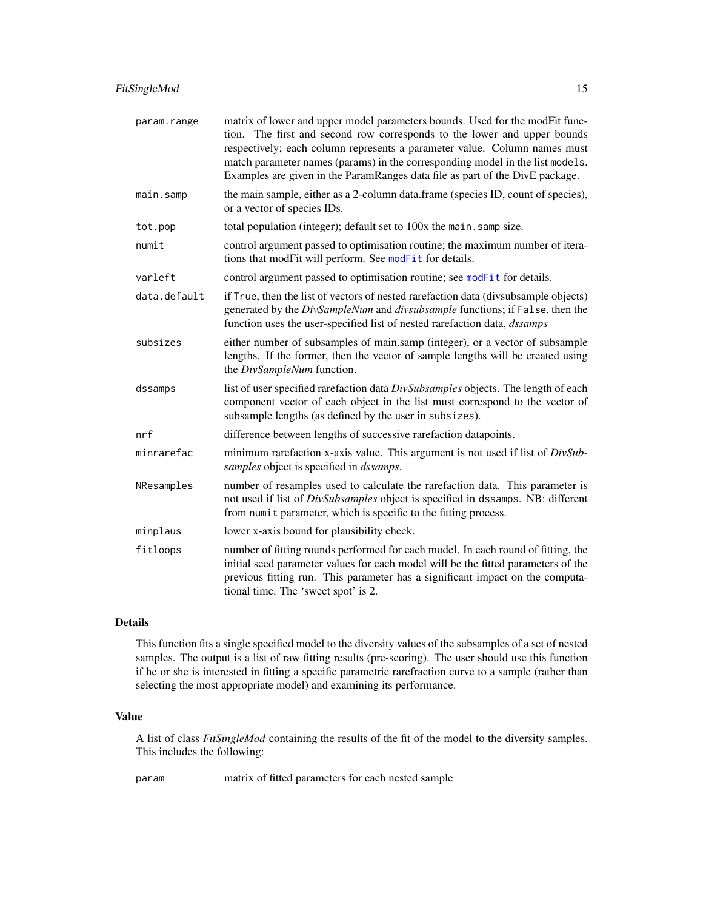<span id="page-14-0"></span>

| param.range  | matrix of lower and upper model parameters bounds. Used for the modFit func-<br>tion. The first and second row corresponds to the lower and upper bounds<br>respectively; each column represents a parameter value. Column names must<br>match parameter names (params) in the corresponding model in the list models.<br>Examples are given in the ParamRanges data file as part of the DivE package. |
|--------------|--------------------------------------------------------------------------------------------------------------------------------------------------------------------------------------------------------------------------------------------------------------------------------------------------------------------------------------------------------------------------------------------------------|
| main.samp    | the main sample, either as a 2-column data.frame (species ID, count of species),<br>or a vector of species IDs.                                                                                                                                                                                                                                                                                        |
| tot.pop      | total population (integer); default set to 100x the main. samp size.                                                                                                                                                                                                                                                                                                                                   |
| numit        | control argument passed to optimisation routine; the maximum number of itera-<br>tions that modFit will perform. See modFit for details.                                                                                                                                                                                                                                                               |
| varleft      | control argument passed to optimisation routine; see modFit for details.                                                                                                                                                                                                                                                                                                                               |
| data.default | if True, then the list of vectors of nested rarefaction data (divsubsample objects)<br>generated by the DivSampleNum and divsubsample functions; if False, then the<br>function uses the user-specified list of nested rarefaction data, dssamps                                                                                                                                                       |
| subsizes     | either number of subsamples of main.samp (integer), or a vector of subsample<br>lengths. If the former, then the vector of sample lengths will be created using<br>the DivSampleNum function.                                                                                                                                                                                                          |
| dssamps      | list of user specified rarefaction data DivSubsamples objects. The length of each<br>component vector of each object in the list must correspond to the vector of<br>subsample lengths (as defined by the user in subsizes).                                                                                                                                                                           |
| nrf          | difference between lengths of successive rarefaction datapoints.                                                                                                                                                                                                                                                                                                                                       |
| minrarefac   | minimum rarefaction x-axis value. This argument is not used if list of DivSub-<br>samples object is specified in dssamps.                                                                                                                                                                                                                                                                              |
| NResamples   | number of resamples used to calculate the rarefaction data. This parameter is<br>not used if list of DivSubsamples object is specified in dssamps. NB: different<br>from numit parameter, which is specific to the fitting process.                                                                                                                                                                    |
| minplaus     | lower x-axis bound for plausibility check.                                                                                                                                                                                                                                                                                                                                                             |
| fitloops     | number of fitting rounds performed for each model. In each round of fitting, the<br>initial seed parameter values for each model will be the fitted parameters of the<br>previous fitting run. This parameter has a significant impact on the computa-<br>tional time. The 'sweet spot' is 2.                                                                                                          |

## Details

This function fits a single specified model to the diversity values of the subsamples of a set of nested samples. The output is a list of raw fitting results (pre-scoring). The user should use this function if he or she is interested in fitting a specific parametric rarefraction curve to a sample (rather than selecting the most appropriate model) and examining its performance.

## Value

A list of class *FitSingleMod* containing the results of the fit of the model to the diversity samples. This includes the following:

param matrix of fitted parameters for each nested sample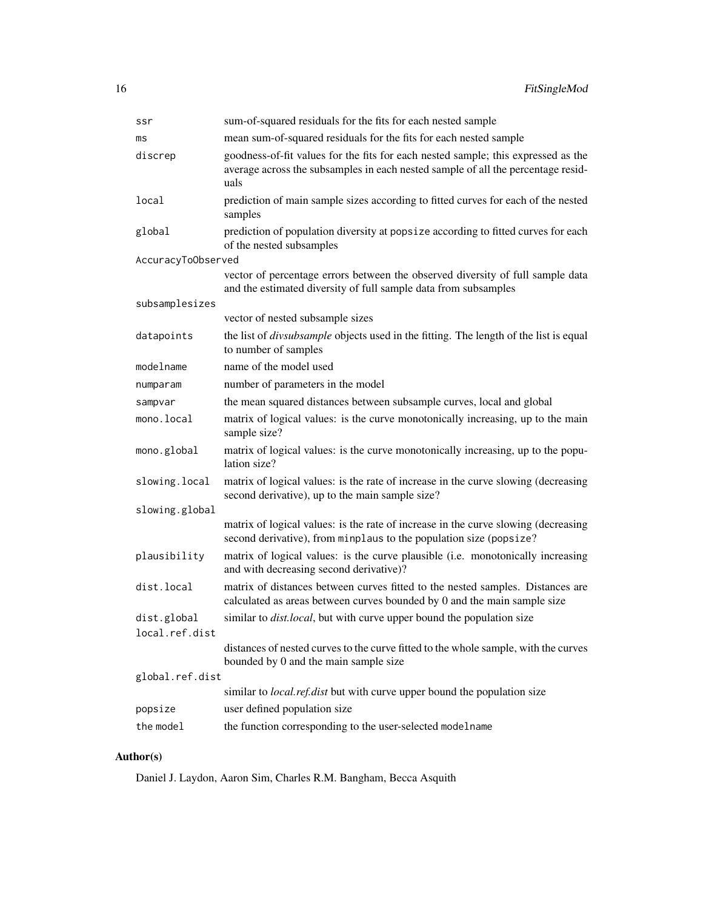| ssr                           | sum-of-squared residuals for the fits for each nested sample                                                                                                                  |
|-------------------------------|-------------------------------------------------------------------------------------------------------------------------------------------------------------------------------|
| ms                            | mean sum-of-squared residuals for the fits for each nested sample                                                                                                             |
| discrep                       | goodness-of-fit values for the fits for each nested sample; this expressed as the<br>average across the subsamples in each nested sample of all the percentage resid-<br>uals |
| local                         | prediction of main sample sizes according to fitted curves for each of the nested<br>samples                                                                                  |
| global                        | prediction of population diversity at popsize according to fitted curves for each<br>of the nested subsamples                                                                 |
| AccuracyToObserved            |                                                                                                                                                                               |
|                               | vector of percentage errors between the observed diversity of full sample data<br>and the estimated diversity of full sample data from subsamples                             |
| subsamplesizes                |                                                                                                                                                                               |
|                               | vector of nested subsample sizes                                                                                                                                              |
| datapoints                    | the list of <i>divsubsample</i> objects used in the fitting. The length of the list is equal<br>to number of samples                                                          |
| modelname                     | name of the model used                                                                                                                                                        |
| numparam                      | number of parameters in the model                                                                                                                                             |
| sampvar                       | the mean squared distances between subsample curves, local and global                                                                                                         |
| mono.local                    | matrix of logical values: is the curve monotonically increasing, up to the main<br>sample size?                                                                               |
| mono.global                   | matrix of logical values: is the curve monotonically increasing, up to the popu-<br>lation size?                                                                              |
| slowing.local                 | matrix of logical values: is the rate of increase in the curve slowing (decreasing<br>second derivative), up to the main sample size?                                         |
| slowing.global                |                                                                                                                                                                               |
|                               | matrix of logical values: is the rate of increase in the curve slowing (decreasing<br>second derivative), from minplaus to the population size (popsize?                      |
| plausibility                  | matrix of logical values: is the curve plausible (i.e. monotonically increasing<br>and with decreasing second derivative)?                                                    |
| dist.local                    | matrix of distances between curves fitted to the nested samples. Distances are<br>calculated as areas between curves bounded by 0 and the main sample size                    |
| dist.global<br>local.ref.dist | similar to dist.local, but with curve upper bound the population size                                                                                                         |
|                               | distances of nested curves to the curve fitted to the whole sample, with the curves<br>bounded by 0 and the main sample size                                                  |
| global.ref.dist               |                                                                                                                                                                               |
|                               | similar to <i>local.ref.dist</i> but with curve upper bound the population size                                                                                               |
| popsize                       | user defined population size                                                                                                                                                  |
| the model                     | the function corresponding to the user-selected modelname                                                                                                                     |

## Author(s)

Daniel J. Laydon, Aaron Sim, Charles R.M. Bangham, Becca Asquith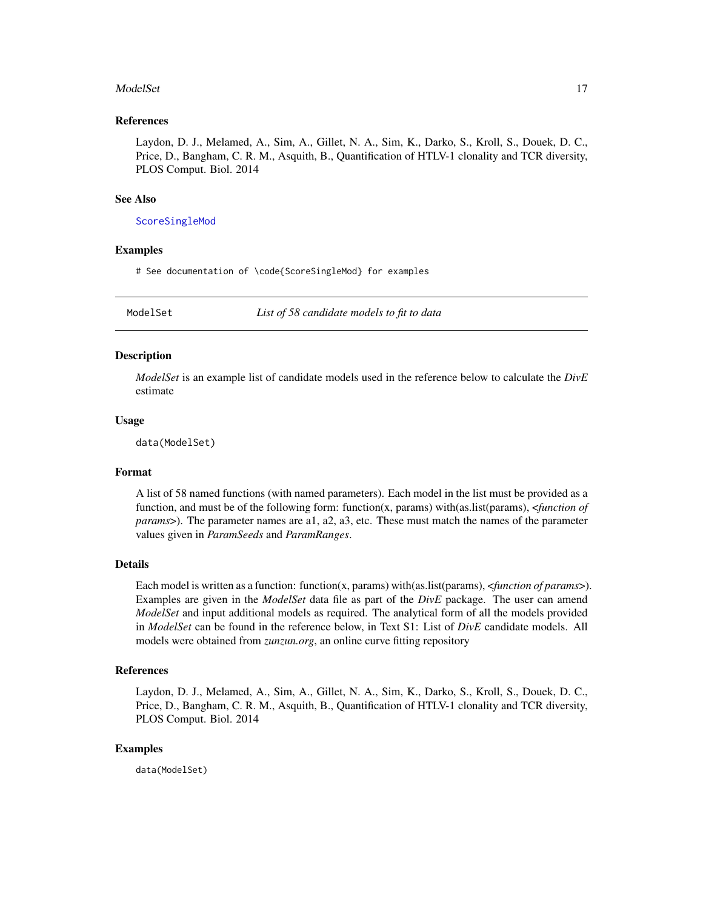#### <span id="page-16-0"></span>ModelSet 17

## References

Laydon, D. J., Melamed, A., Sim, A., Gillet, N. A., Sim, K., Darko, S., Kroll, S., Douek, D. C., Price, D., Bangham, C. R. M., Asquith, B., Quantification of HTLV-1 clonality and TCR diversity, PLOS Comput. Biol. 2014

#### See Also

[ScoreSingleMod](#page-19-1)

## Examples

# See documentation of \code{ScoreSingleMod} for examples

ModelSet *List of 58 candidate models to fit to data*

## **Description**

*ModelSet* is an example list of candidate models used in the reference below to calculate the *DivE* estimate

## Usage

data(ModelSet)

## Format

A list of 58 named functions (with named parameters). Each model in the list must be provided as a function, and must be of the following form: function(x, params) with(as.list(params), <*function of params*>). The parameter names are a1, a2, a3, etc. These must match the names of the parameter values given in *ParamSeeds* and *ParamRanges*.

#### Details

Each model is written as a function: function(x, params) with(as.list(params), <*function of params*>). Examples are given in the *ModelSet* data file as part of the *DivE* package. The user can amend *ModelSet* and input additional models as required. The analytical form of all the models provided in *ModelSet* can be found in the reference below, in Text S1: List of *DivE* candidate models. All models were obtained from *zunzun.org*, an online curve fitting repository

## References

Laydon, D. J., Melamed, A., Sim, A., Gillet, N. A., Sim, K., Darko, S., Kroll, S., Douek, D. C., Price, D., Bangham, C. R. M., Asquith, B., Quantification of HTLV-1 clonality and TCR diversity, PLOS Comput. Biol. 2014

#### Examples

data(ModelSet)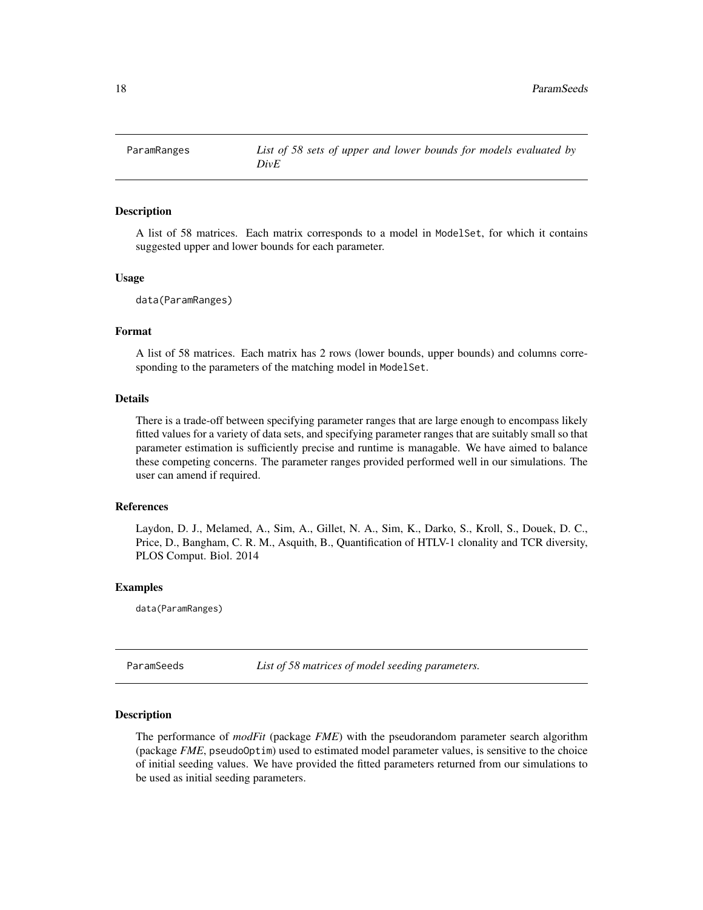<span id="page-17-0"></span>

#### Description

A list of 58 matrices. Each matrix corresponds to a model in ModelSet, for which it contains suggested upper and lower bounds for each parameter.

#### Usage

data(ParamRanges)

## Format

A list of 58 matrices. Each matrix has 2 rows (lower bounds, upper bounds) and columns corresponding to the parameters of the matching model in ModelSet.

## Details

There is a trade-off between specifying parameter ranges that are large enough to encompass likely fitted values for a variety of data sets, and specifying parameter ranges that are suitably small so that parameter estimation is sufficiently precise and runtime is managable. We have aimed to balance these competing concerns. The parameter ranges provided performed well in our simulations. The user can amend if required.

#### References

Laydon, D. J., Melamed, A., Sim, A., Gillet, N. A., Sim, K., Darko, S., Kroll, S., Douek, D. C., Price, D., Bangham, C. R. M., Asquith, B., Quantification of HTLV-1 clonality and TCR diversity, PLOS Comput. Biol. 2014

## Examples

data(ParamRanges)

ParamSeeds *List of 58 matrices of model seeding parameters.*

#### Description

The performance of *modFit* (package *FME*) with the pseudorandom parameter search algorithm (package *FME*, pseudoOptim) used to estimated model parameter values, is sensitive to the choice of initial seeding values. We have provided the fitted parameters returned from our simulations to be used as initial seeding parameters.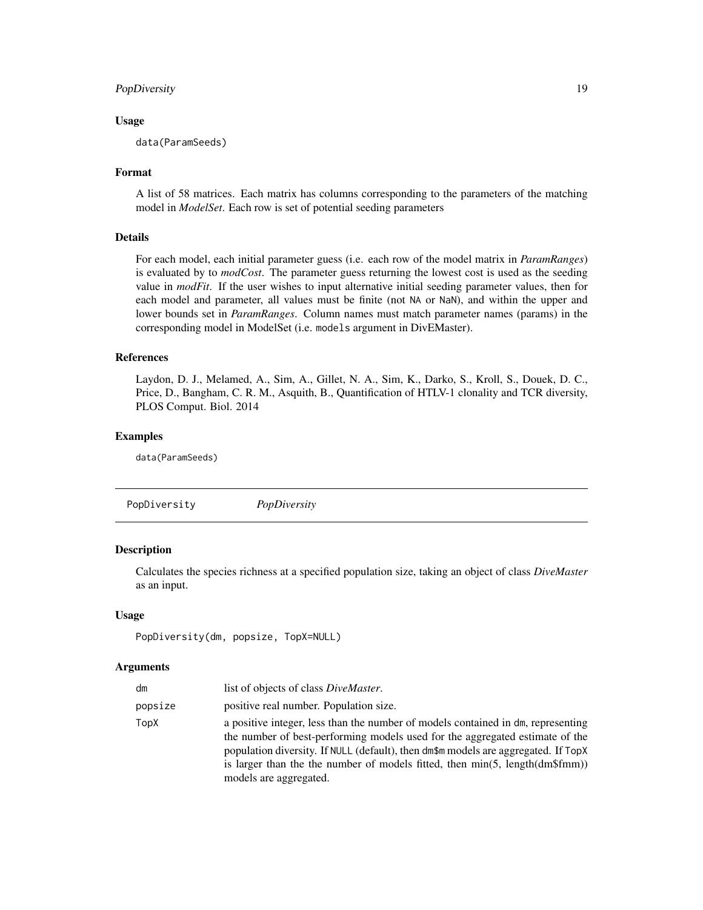## <span id="page-18-0"></span>PopDiversity 19

#### Usage

data(ParamSeeds)

#### Format

A list of 58 matrices. Each matrix has columns corresponding to the parameters of the matching model in *ModelSet*. Each row is set of potential seeding parameters

## Details

For each model, each initial parameter guess (i.e. each row of the model matrix in *ParamRanges*) is evaluated by to *modCost*. The parameter guess returning the lowest cost is used as the seeding value in *modFit*. If the user wishes to input alternative initial seeding parameter values, then for each model and parameter, all values must be finite (not NA or NaN), and within the upper and lower bounds set in *ParamRanges*. Column names must match parameter names (params) in the corresponding model in ModelSet (i.e. models argument in DivEMaster).

#### References

Laydon, D. J., Melamed, A., Sim, A., Gillet, N. A., Sim, K., Darko, S., Kroll, S., Douek, D. C., Price, D., Bangham, C. R. M., Asquith, B., Quantification of HTLV-1 clonality and TCR diversity, PLOS Comput. Biol. 2014

## Examples

data(ParamSeeds)

PopDiversity *PopDiversity*

#### Description

Calculates the species richness at a specified population size, taking an object of class *DiveMaster* as an input.

#### Usage

```
PopDiversity(dm, popsize, TopX=NULL)
```
#### Arguments

| dm      | list of objects of class DiveMaster.                                                                                                                                                                                                                                                                                                                             |
|---------|------------------------------------------------------------------------------------------------------------------------------------------------------------------------------------------------------------------------------------------------------------------------------------------------------------------------------------------------------------------|
| popsize | positive real number. Population size.                                                                                                                                                                                                                                                                                                                           |
| TopX    | a positive integer, less than the number of models contained in dm, representing<br>the number of best-performing models used for the aggregated estimate of the<br>population diversity. If NULL (default), then dm\$m models are aggregated. If TopX<br>is larger than the the number of models fitted, then min(5, length(dm\$fmm))<br>models are aggregated. |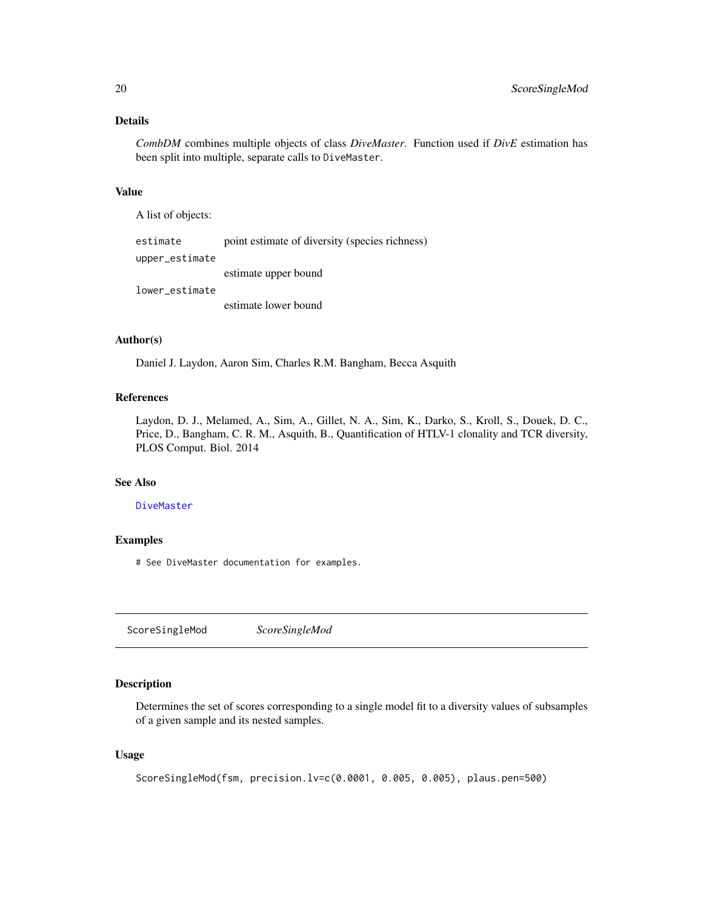## <span id="page-19-0"></span>Details

*CombDM* combines multiple objects of class *DiveMaster*. Function used if *DivE* estimation has been split into multiple, separate calls to DiveMaster.

## Value

A list of objects:

estimate point estimate of diversity (species richness) upper\_estimate estimate upper bound lower\_estimate

estimate lower bound

## Author(s)

Daniel J. Laydon, Aaron Sim, Charles R.M. Bangham, Becca Asquith

## References

Laydon, D. J., Melamed, A., Sim, A., Gillet, N. A., Sim, K., Darko, S., Kroll, S., Douek, D. C., Price, D., Bangham, C. R. M., Asquith, B., Quantification of HTLV-1 clonality and TCR diversity, PLOS Comput. Biol. 2014

## See Also

#### [DiveMaster](#page-7-1)

## Examples

# See DiveMaster documentation for examples.

<span id="page-19-1"></span>ScoreSingleMod *ScoreSingleMod*

## Description

Determines the set of scores corresponding to a single model fit to a diversity values of subsamples of a given sample and its nested samples.

## Usage

```
ScoreSingleMod(fsm, precision.lv=c(0.0001, 0.005, 0.005), plaus.pen=500)
```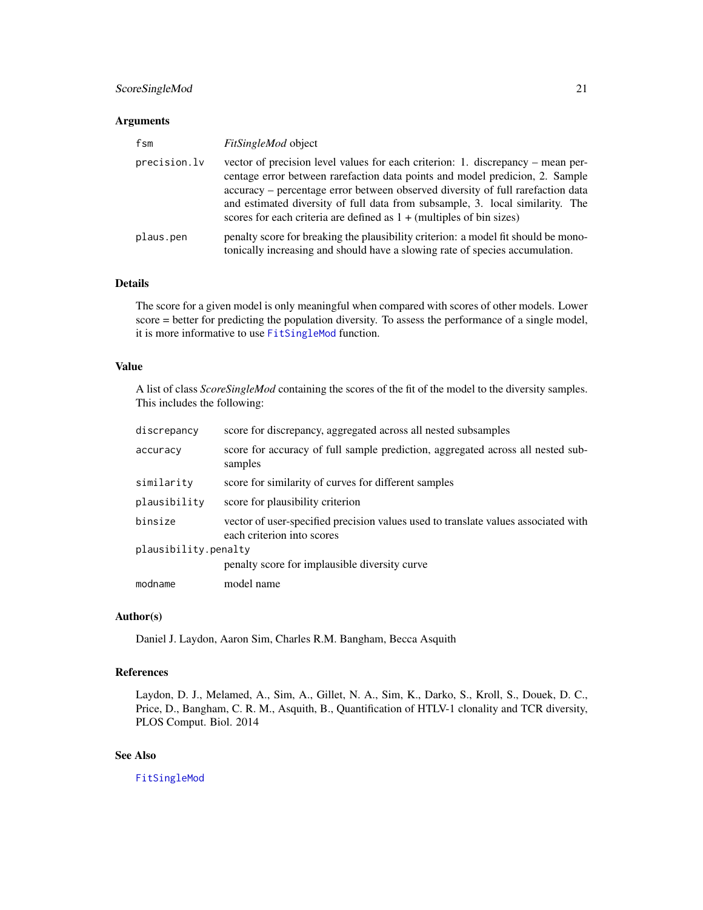## <span id="page-20-0"></span>ScoreSingleMod 21

## Arguments

| fsm          | <i>FitSingleMod</i> object                                                                                                                                                                                                                                                                                                                                                                                    |
|--------------|---------------------------------------------------------------------------------------------------------------------------------------------------------------------------------------------------------------------------------------------------------------------------------------------------------------------------------------------------------------------------------------------------------------|
| precision.lv | vector of precision level values for each criterion: 1. discrepancy – mean per-<br>centage error between rarefaction data points and model predicion, 2. Sample<br>accuracy – percentage error between observed diversity of full rarefaction data<br>and estimated diversity of full data from subsample, 3. local similarity. The<br>scores for each criteria are defined as $1 + (multiples of bin sizes)$ |
| plaus.pen    | penalty score for breaking the plausibility criterion: a model fit should be mono-<br>tonically increasing and should have a slowing rate of species accumulation.                                                                                                                                                                                                                                            |

## Details

The score for a given model is only meaningful when compared with scores of other models. Lower score = better for predicting the population diversity. To assess the performance of a single model, it is more informative to use [FitSingleMod](#page-13-1) function.

## Value

A list of class *ScoreSingleMod* containing the scores of the fit of the model to the diversity samples. This includes the following:

| discrepancy          | score for discrepancy, aggregated across all nested subsamples                                                   |  |
|----------------------|------------------------------------------------------------------------------------------------------------------|--|
| accuracy             | score for accuracy of full sample prediction, aggregated across all nested sub-<br>samples                       |  |
| similarity           | score for similarity of curves for different samples                                                             |  |
| plausibility         | score for plausibility criterion                                                                                 |  |
| binsize              | vector of user-specified precision values used to translate values associated with<br>each criterion into scores |  |
| plausibility.penalty |                                                                                                                  |  |
|                      | penalty score for implausible diversity curve                                                                    |  |
| modname              | model name                                                                                                       |  |
|                      |                                                                                                                  |  |

## Author(s)

Daniel J. Laydon, Aaron Sim, Charles R.M. Bangham, Becca Asquith

## References

Laydon, D. J., Melamed, A., Sim, A., Gillet, N. A., Sim, K., Darko, S., Kroll, S., Douek, D. C., Price, D., Bangham, C. R. M., Asquith, B., Quantification of HTLV-1 clonality and TCR diversity, PLOS Comput. Biol. 2014

## See Also

[FitSingleMod](#page-13-1)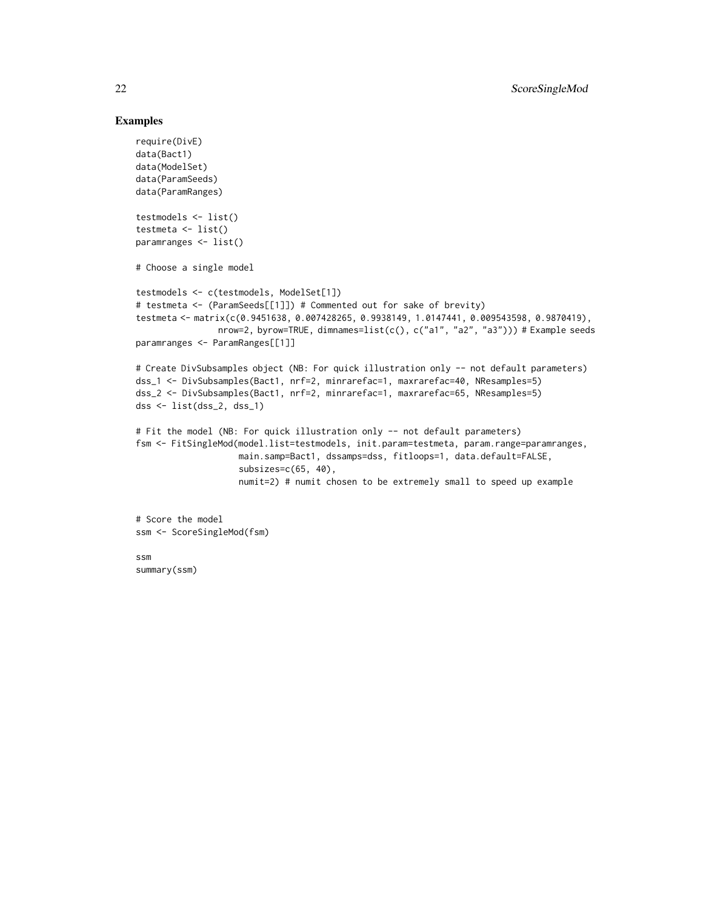## Examples

```
require(DivE)
data(Bact1)
data(ModelSet)
data(ParamSeeds)
data(ParamRanges)
testmodels <- list()
testmeta <- list()
paramranges <- list()
# Choose a single model
testmodels <- c(testmodels, ModelSet[1])
# testmeta <- (ParamSeeds[[1]]) # Commented out for sake of brevity)
testmeta <- matrix(c(0.9451638, 0.007428265, 0.9938149, 1.0147441, 0.009543598, 0.9870419),
                nrow=2, byrow=TRUE, dimnames=list(c(), c("a1", "a2", "a3"))) # Example seeds
paramranges <- ParamRanges[[1]]
# Create DivSubsamples object (NB: For quick illustration only -- not default parameters)
dss_1 <- DivSubsamples(Bact1, nrf=2, minrarefac=1, maxrarefac=40, NResamples=5)
dss_2 <- DivSubsamples(Bact1, nrf=2, minrarefac=1, maxrarefac=65, NResamples=5)
dss <- list(dss_2, dss_1)
# Fit the model (NB: For quick illustration only -- not default parameters)
fsm <- FitSingleMod(model.list=testmodels, init.param=testmeta, param.range=paramranges,
                    main.samp=Bact1, dssamps=dss, fitloops=1, data.default=FALSE,
                    subsizes=c(65, 40),
                    numit=2) # numit chosen to be extremely small to speed up example
# Score the model
```
ssm <- ScoreSingleMod(fsm)

ssm summary(ssm)